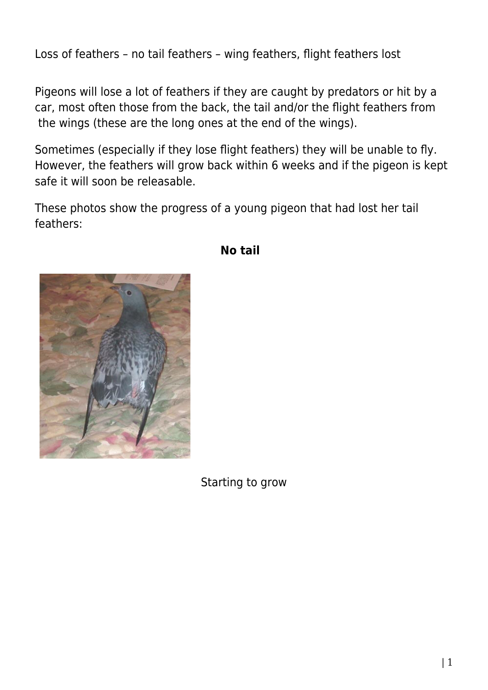Loss of feathers – no tail feathers – wing feathers, flight feathers lost

Pigeons will lose a lot of feathers if they are caught by predators or hit by a car, most often those from the back, the tail and/or the flight feathers from the wings (these are the long ones at the end of the wings).

Sometimes (especially if they lose flight feathers) they will be unable to fly. However, the feathers will grow back within 6 weeks and if the pigeon is kept safe it will soon be releasable.

These photos show the progress of a young pigeon that had lost her tail feathers:



## **No tail**

Starting to grow